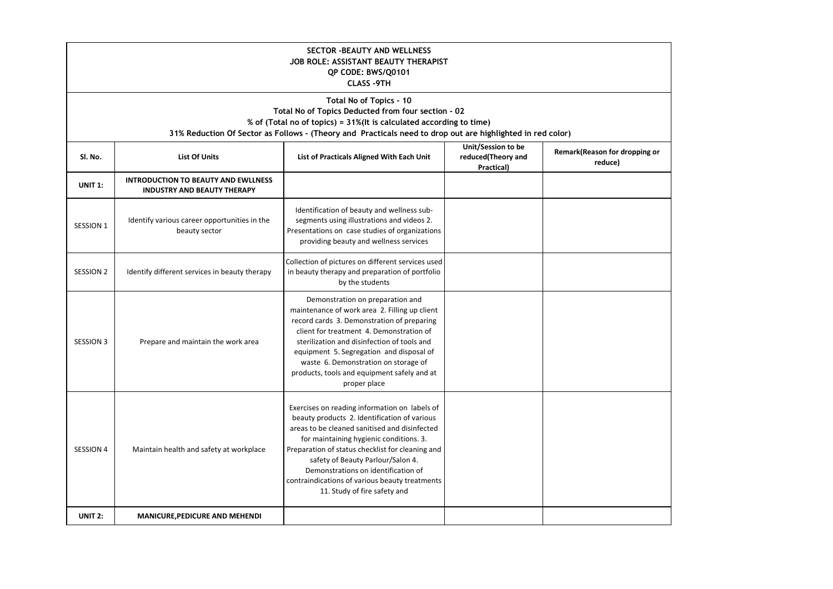| <b>SECTOR -BEAUTY AND WELLNESS</b><br>JOB ROLE: ASSISTANT BEAUTY THERAPIST<br>QP CODE: BWS/Q0101<br><b>CLASS -9TH</b>                                                                                                                                              |                                                                                  |                                                                                                                                                                                                                                                                                                                                                                                                             |                                                        |                                           |  |  |  |
|--------------------------------------------------------------------------------------------------------------------------------------------------------------------------------------------------------------------------------------------------------------------|----------------------------------------------------------------------------------|-------------------------------------------------------------------------------------------------------------------------------------------------------------------------------------------------------------------------------------------------------------------------------------------------------------------------------------------------------------------------------------------------------------|--------------------------------------------------------|-------------------------------------------|--|--|--|
| Total No of Topics - 10<br>Total No of Topics Deducted from four section - 02<br>% of (Total no of topics) = 31%(It is calculated according to time)<br>31% Reduction Of Sector as Follows - (Theory and Practicals need to drop out are highlighted in red color) |                                                                                  |                                                                                                                                                                                                                                                                                                                                                                                                             |                                                        |                                           |  |  |  |
| SI. No.                                                                                                                                                                                                                                                            | <b>List Of Units</b>                                                             | List of Practicals Aligned With Each Unit                                                                                                                                                                                                                                                                                                                                                                   | Unit/Session to be<br>reduced(Theory and<br>Practical) | Remark (Reason for dropping or<br>reduce) |  |  |  |
| <b>UNIT 1:</b>                                                                                                                                                                                                                                                     | <b>INTRODUCTION TO BEAUTY AND EWLLNESS</b><br><b>INDUSTRY AND BEAUTY THERAPY</b> |                                                                                                                                                                                                                                                                                                                                                                                                             |                                                        |                                           |  |  |  |
| <b>SESSION 1</b>                                                                                                                                                                                                                                                   | Identify various career opportunities in the<br>beauty sector                    | Identification of beauty and wellness sub-<br>segments using illustrations and videos 2.<br>Presentations on case studies of organizations<br>providing beauty and wellness services                                                                                                                                                                                                                        |                                                        |                                           |  |  |  |
| <b>SESSION 2</b>                                                                                                                                                                                                                                                   | Identify different services in beauty therapy                                    | Collection of pictures on different services used<br>in beauty therapy and preparation of portfolio<br>by the students                                                                                                                                                                                                                                                                                      |                                                        |                                           |  |  |  |
| <b>SESSION 3</b>                                                                                                                                                                                                                                                   | Prepare and maintain the work area                                               | Demonstration on preparation and<br>maintenance of work area 2. Filling up client<br>record cards 3. Demonstration of preparing<br>client for treatment 4. Demonstration of<br>sterilization and disinfection of tools and<br>equipment 5. Segregation and disposal of<br>waste 6. Demonstration on storage of<br>products, tools and equipment safely and at<br>proper place                               |                                                        |                                           |  |  |  |
| <b>SESSION 4</b>                                                                                                                                                                                                                                                   | Maintain health and safety at workplace                                          | Exercises on reading information on labels of<br>beauty products 2. Identification of various<br>areas to be cleaned sanitised and disinfected<br>for maintaining hygienic conditions. 3.<br>Preparation of status checklist for cleaning and<br>safety of Beauty Parlour/Salon 4.<br>Demonstrations on identification of<br>contraindications of various beauty treatments<br>11. Study of fire safety and |                                                        |                                           |  |  |  |
| UNIT <sub>2:</sub>                                                                                                                                                                                                                                                 | <b>MANICURE, PEDICURE AND MEHENDI</b>                                            |                                                                                                                                                                                                                                                                                                                                                                                                             |                                                        |                                           |  |  |  |